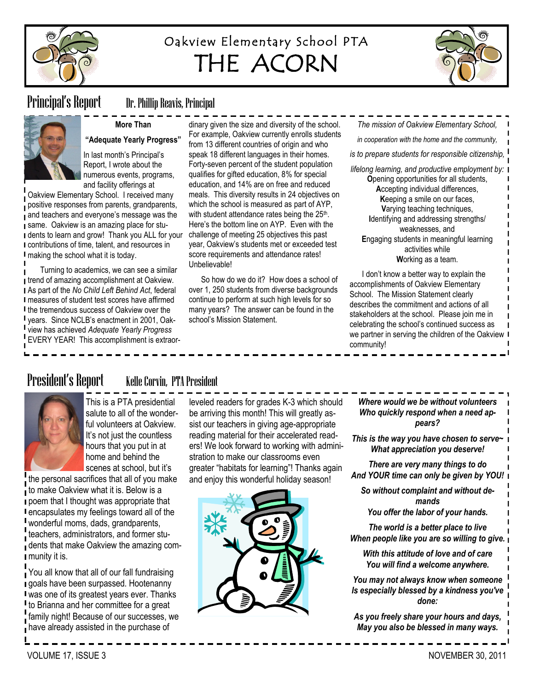

# Oakview Elementary School PTA THE ACORN



# Principal's Report Dr. Phillip Reavis, Principal

**More Than** 

# **"Adequate Yearly Progress"**

In last month's Principal's Report, I wrote about the numerous events, programs, and facility offerings at

Oakview Elementary School. I received many positive responses from parents, grandparents, and teachers and everyone's message was the same. Oakview is an amazing place for stu-I dents to learn and grow! Thank you ALL for your contributions of time, talent, and resources in making the school what it is today.

Turning to academics, we can see a similar **trend of amazing accomplishment at Oakview.** As part of the *No Child Left Behind Act*, federal measures of student test scores have affirmed I the tremendous success of Oakview over the years. Since NCLB's enactment in 2001, Oakview has achieved *Adequate Yearly Progress* EVERY YEAR! This accomplishment is extraor-

dinary given the size and diversity of the school. For example, Oakview currently enrolls students from 13 different countries of origin and who speak 18 different languages in their homes. Forty-seven percent of the student population qualifies for gifted education, 8% for special education, and 14% are on free and reduced meals. This diversity results in 24 objectives on which the school is measured as part of AYP, with student attendance rates being the 25<sup>th</sup>. Here's the bottom line on AYP. Even with the challenge of meeting 25 objectives this past year, Oakview's students met or exceeded test score requirements and attendance rates! Unbelievable!

So how do we do it? How does a school of over 1, 250 students from diverse backgrounds continue to perform at such high levels for so many years? The answer can be found in the school's Mission Statement.

*in cooperation with the home and the community, is to prepare students for responsible citizenship, lifelong learning, and productive employment by:* **O**pening opportunities for all students, **A**ccepting individual differences, **K**eeping a smile on our faces, **V**arying teaching techniques, **I**dentifying and addressing strengths/ weaknesses, and **E**ngaging students in meaningful learning activities while

*The mission of Oakview Elementary School,*

**W**orking as a team.

I don't know a better way to explain the accomplishments of Oakview Elementary School. The Mission Statement clearly describes the commitment and actions of all stakeholders at the school. Please join me in celebrating the school's continued success as we partner in serving the children of the Oakview I community!

# President's Report Kelle Corvin, PTA President



This is a PTA presidential salute to all of the wonderful volunteers at Oakview. It's not just the countless hours that you put in at home and behind the

scenes at school, but it's the personal sacrifices that all of you make to make Oakview what it is. Below is a poem that I thought was appropriate that encapsulates my feelings toward all of the wonderful moms, dads, grandparents, teachers, administrators, and former students that make Oakview the amazing community it is.

You all know that all of our fall fundraising goals have been surpassed. Hootenanny was one of its greatest years ever. Thanks If to Brianna and her committee for a great family night! Because of our successes, we have already assisted in the purchase of

leveled readers for grades K-3 which should be arriving this month! This will greatly assist our teachers in giving age-appropriate reading material for their accelerated readers! We look forward to working with administration to make our classrooms even greater "habitats for learning"! Thanks again and enjoy this wonderful holiday season!



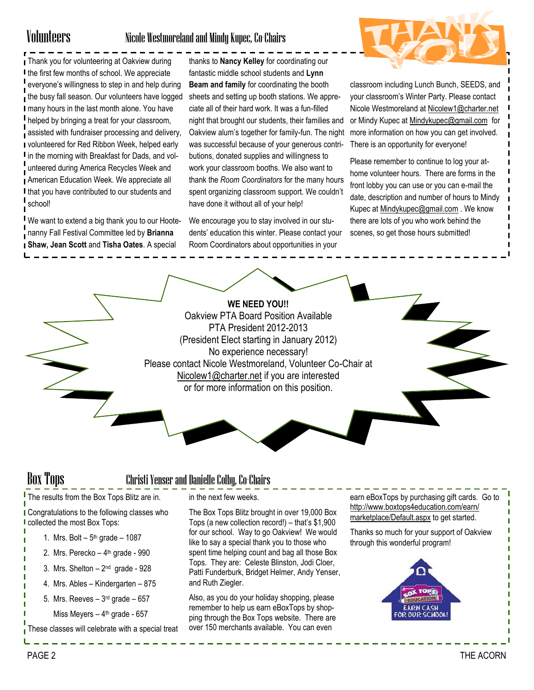## Volunteers Nicole Westmoreland and Mindy Kupec, Co-Chairs

**Thank you for volunteering at Oakview during** I the first few months of school. We appreciate everyone's willingness to step in and help during the busy fall season. Our volunteers have logged I many hours in the last month alone. You have helped by bringing a treat for your classroom, assisted with fundraiser processing and delivery, volunteered for Red Ribbon Week, helped early I in the morning with Breakfast for Dads, and volunteered during America Recycles Week and American Education Week. We appreciate all I that you have contributed to our students and school!

We want to extend a big thank you to our Hootenanny Fall Festival Committee led by **Brianna Shaw, Jean Scott** and **Tisha Oates**. A special

thanks to **Nancy Kelley** for coordinating our fantastic middle school students and **Lynn Beam and family** for coordinating the booth sheets and setting up booth stations. We appreciate all of their hard work. It was a fun-filled night that brought our students, their families and Oakview alum's together for family-fun. The night was successful because of your generous contributions, donated supplies and willingness to work your classroom booths. We also want to thank the *Room Coordinators* for the many hours spent organizing classroom support. We couldn't have done it without all of your help!

We encourage you to stay involved in our students' education this winter. Please contact your Room Coordinators about opportunities in your



classroom including Lunch Bunch, SEEDS, and your classroom's Winter Party. Please contact Nicole Westmoreland at [Nicolew1@charter.net](mailto:Nicolew1@charter.net) or Mindy Kupec at [Mindykupec@gmail.com](mailto:Mindykupec@gmail.com) for more information on how you can get involved. There is an opportunity for everyone!

Please remember to continue to log your athome volunteer hours. There are forms in the front lobby you can use or you can e-mail the date, description and number of hours to Mindy Kupec at [Mindykupec@gmail.com](mailto:Mindykupec@gmail.com) . We know there are lots of you who work behind the scenes, so get those hours submitted!



# Box Tops Christi Yenser and Danielle Colby, Co-Chairs

The results from the Box Tops Blitz are in.

**I** Congratulations to the following classes who **I** collected the most Box Tops:

- 1. Mrs. Bolt  $-5<sup>th</sup>$  grade  $-1087$
- 2. Mrs. Perecko 4<sup>th</sup> grade 990
- 3. Mrs. Shelton 2<sup>nd</sup> grade 928
- 4. Mrs. Ables Kindergarten 875
- 5. Mrs. Reeves 3<sup>rd</sup> grade 657
	- Miss Meyers 4<sup>th</sup> grade 657

These classes will celebrate with a special treat

in the next few weeks.

The Box Tops Blitz brought in over 19,000 Box Tops (a new collection record!) – that's \$1,900 for our school. Way to go Oakview! We would like to say a special thank you to those who spent time helping count and bag all those Box Tops. They are: Celeste Blinston, Jodi Cloer, Patti Funderburk, Bridget Helmer, Andy Yenser, and Ruth Ziegler.

Also, as you do your holiday shopping, please remember to help us earn eBoxTops by shopping through the Box Tops website. There are over 150 merchants available. You can even

earn eBoxTops by purchasing gift cards. Go to [http://www.boxtops4education.com/earn/](http://www.boxtops4education.com/earn/marketplace/Default.aspx) [marketplace/Default.aspx](http://www.boxtops4education.com/earn/marketplace/Default.aspx) to get started.

Thanks so much for your support of Oakview through this wonderful program!

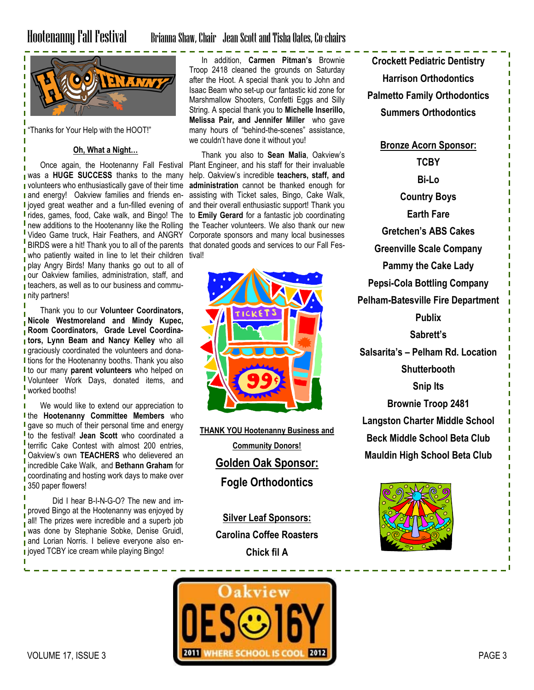# Hootenanny Fall Festival Brianna Shaw, Chair Jean Scott and Tisha Oates, Co-chairs



**Thanks for Your Help with the HOOT!"** 

### **Oh, What a Night…**

Once again, the Hootenanny Fall Festival was a **HUGE SUCCESS** thanks to the many volunteers who enthusiastically gave of their time **I** and energy! Oakview families and friends en-I joyed great weather and a fun-filled evening of rides, games, food, Cake walk, and Bingo! The **I** new additions to the Hootenanny like the Rolling Video Game truck, Hair Feathers, and ANGRY BIRDS were a hit! Thank you to all of the parents who patiently waited in line to let their children play Angry Birds! Many thanks go out to all of our Oakview families, administration, staff, and **t** teachers, as well as to our business and commu-I nity partners!

Thank you to our **Volunteer Coordinators, Nicole Westmoreland and Mindy Kupec, Room Coordinators, Grade Level Coordinators, Lynn Beam and Nancy Kelley** who all **I** graciously coordinated the volunteers and dona-I tions for the Hootenanny booths. Thank you also to our many **parent volunteers** who helped on Volunteer Work Days, donated items, and worked booths!

We would like to extend our appreciation to п **I** the **Hootenanny Committee Members** who **I** gave so much of their personal time and energy to the festival! **Jean Scott** who coordinated a terrific Cake Contest with almost 200 entries, Oakview's own **TEACHERS** who delievered an incredible Cake Walk, and **Bethann Graham** for coordinating and hosting work days to make over 350 paper flowers!

Did I hear B-I-N-G-O? The new and improved Bingo at the Hootenanny was enjoyed by all! The prizes were incredible and a superb job was done by Stephanie Sobke, Denise Gruidl, and Lorian Norris. I believe everyone also en**j** joyed TCBY ice cream while playing Bingo!

In addition, **Carmen Pitman's** Brownie Troop 2418 cleaned the grounds on Saturday after the Hoot. A special thank you to John and Isaac Beam who set-up our fantastic kid zone for Marshmallow Shooters, Confetti Eggs and Silly String. A special thank you to **Michelle Inserillo, Melissa Pair, and Jennifer Miller** who gave many hours of "behind-the-scenes" assistance, we couldn't have done it without you!

Thank you also to **Sean Malia**, Oakview's Plant Engineer, and his staff for their invaluable help. Oakview's incredible **teachers, staff, and administration** cannot be thanked enough for assisting with Ticket sales, Bingo, Cake Walk, and their overall enthusiastic support! Thank you to **Emily Gerard** for a fantastic job coordinating the Teacher volunteers. We also thank our new Corporate sponsors and many local businesses that donated goods and services to our Fall Festival!



**THANK YOU Hootenanny Business and Community Donors! Golden Oak Sponsor: Fogle Orthodontics**

> **Silver Leaf Sponsors: Carolina Coffee Roasters Chick fil A**

**Crockett Pediatric Dentistry Harrison Orthodontics Palmetto Family Orthodontics Summers Orthodontics Bronze Acorn Sponsor: TCBY Bi-Lo Country Boys Earth Fare Gretchen's ABS Cakes Greenville Scale Company Pammy the Cake Lady Pepsi-Cola Bottling Company Pelham-Batesville Fire Department Publix Sabrett's Salsarita's – Pelham Rd. Location Shutterbooth Snip Its Brownie Troop 2481 Langston Charter Middle School Beck Middle School Beta Club Mauldin High School Beta Club**



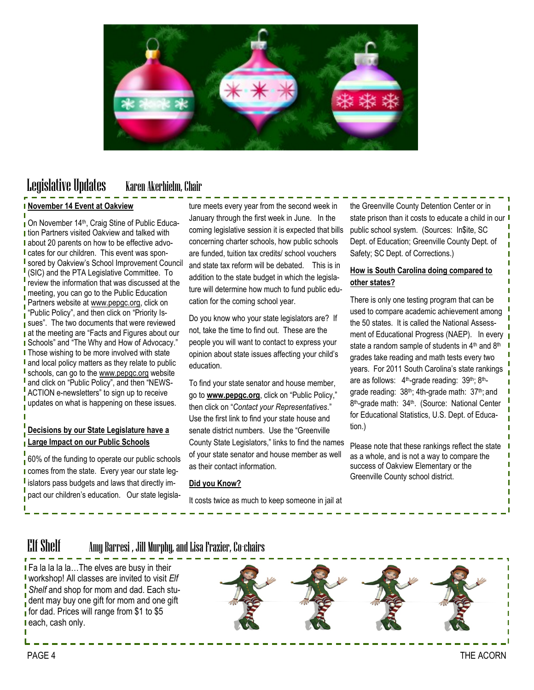

# Legislative Updates Karen Akerhielm, Chair

### **November 14 Event at Oakview**

On November 14th, Craig Stine of Public Educa-**I** tion Partners visited Oakview and talked with I about 20 parents on how to be effective advo-**I** cates for our children. This event was spon-**I** sored by Oakview's School Improvement Council (SIC) and the PTA Legislative Committee. To review the information that was discussed at the meeting, you can go to the Public Education Partners website at [www.pepgc.org,](http://www.pepgc.org) click on Public Policy", and then click on "Priority Issues". The two documents that were reviewed at the meeting are "Facts and Figures about our **I** Schools" and "The Why and How of Advocacy." **I** Those wishing to be more involved with state **l** and local policy matters as they relate to public schools, can go to the [www.pepgc.org](http://www.pepgc.org) website and click on "Public Policy", and then "NEWS-ACTION e-newsletters" to sign up to receive updates on what is happening on these issues.

## **Decisions by our State Legislature have a Large Impact on our Public Schools**

60% of the funding to operate our public schools I comes from the state. Every year our state leg**islators pass budgets and laws that directly im**pact our children's education. Our state legislature meets every year from the second week in January through the first week in June. In the coming legislative session it is expected that bills concerning charter schools, how public schools are funded, tuition tax credits/ school vouchers and state tax reform will be debated. This is in addition to the state budget in which the legislature will determine how much to fund public education for the coming school year.

Do you know who your state legislators are? If not, take the time to find out. These are the people you will want to contact to express your opinion about state issues affecting your child's education.

To find your state senator and house member, go to [www.pepgc.org](http://www.pepgc.org), click on "Public Policy," then click on "Contact your Representatives." Use the first link to find your state house and senate district numbers. Use the "Greenville County State Legislators," links to find the names of your state senator and house member as well as their contact information.

### **Did you Know?**

It costs twice as much to keep someone in jail at

the Greenville County Detention Center or in state prison than it costs to educate a child in our I public school system. (Sources: In\$ite, SC Dept. of Education; Greenville County Dept. of Safety; SC Dept. of Corrections.)

## **How is South Carolina doing compared to other states?**

There is only one testing program that can be used to compare academic achievement among the 50 states. It is called the National Assessment of Educational Progress (NAEP). In every state a random sample of students in 4<sup>th</sup> and 8<sup>th</sup> grades take reading and math tests every two years. For 2011 South Carolina's state rankings are as follows: 4<sup>th</sup>-grade reading: 39<sup>th</sup>; 8<sup>th</sup>grade reading: 38<sup>th</sup>; 4th-grade math: 37<sup>th</sup>; and 8<sup>th</sup>-grade math: 34<sup>th</sup>. (Source: National Center for Educational Statistics, U.S. Dept. of Education.)

Please note that these rankings reflect the state as a whole, and is not a way to compare the success of Oakview Elementary or the Greenville County school district.

# Elf Shelf Amy Barresi , Jill Murphy, and Lisa Frazier, Co-chairs

**Fa la la la la...The elves are busy in their** workshop! All classes are invited to visit *Elf Shelf* and shop for mom and dad. Each stuother dent may buy one gift for mom and one gift for dad. Prices will range from \$1 to \$5 I each, cash only.

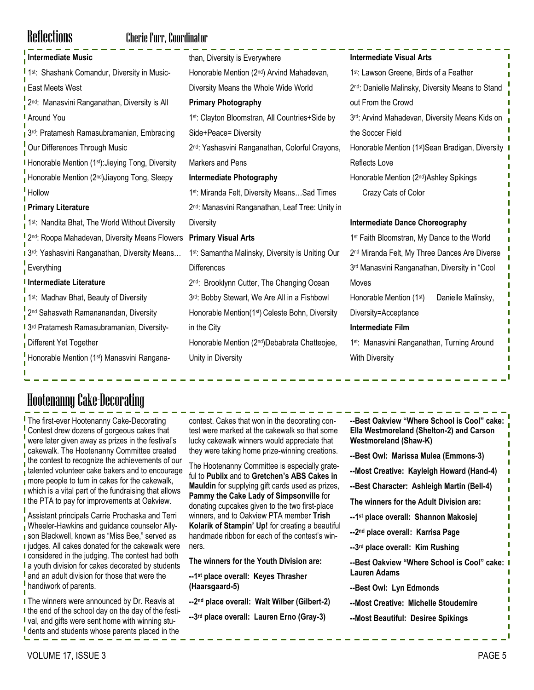# Reflections Cherie Furr, Coordinator

| Intermediate Music                                                         | than, Diversity is Everywhere                                | <b>Intermediate Visual Arts</b>                               |
|----------------------------------------------------------------------------|--------------------------------------------------------------|---------------------------------------------------------------|
| <sup>1</sup> 1 <sup>st</sup> : Shashank Comandur, Diversity in Music-      | Honorable Mention (2nd) Arvind Mahadevan,                    | 1 <sup>st</sup> : Lawson Greene, Birds of a Feather           |
| <b>East Meets West</b>                                                     | Diversity Means the Whole Wide World                         | 2 <sup>nd</sup> : Danielle Malinsky, Diversity Means to Stand |
| $\frac{1}{1}$ 2 <sup>nd</sup> :<br>Manasvini Ranganathan, Diversity is All | <b>Primary Photography</b>                                   | out From the Crowd                                            |
| <b>Around You</b>                                                          | 1st: Clayton Bloomstran, All Countries+Side by               | 3rd: Arvind Mahadevan, Diversity Means Kids on                |
| 1 <sup>3rd</sup> : Pratamesh Ramasubramanian, Embracing                    | Side+Peace= Diversity                                        | the Soccer Field                                              |
| Our Differences Through Music                                              | 2 <sup>nd</sup> : Yashasvini Ranganathan, Colorful Crayons,  | Honorable Mention (1 <sup>st</sup> )Sean Bradigan, Diversity  |
| I Honorable Mention (1 <sup>st)</sup> : Jieying Tong, Diversity            | Markers and Pens                                             | <b>Reflects Love</b>                                          |
| Honorable Mention (2nd) Jiayong Tong, Sleepy                               | <b>Intermediate Photography</b>                              | Honorable Mention (2nd) Ashley Spikings                       |
| Hollow                                                                     | 1 <sup>st</sup> : Miranda Felt, Diversity MeansSad Times     | Crazy Cats of Color                                           |
| <b>I Primary Literature</b>                                                | 2 <sup>nd</sup> : Manasvini Ranganathan, Leaf Tree: Unity in |                                                               |
| 1 <sup>st</sup> : Nandita Bhat, The World Without Diversity                | <b>Diversity</b>                                             | <b>Intermediate Dance Choreography</b>                        |
| <sup>1</sup> 2 <sup>nd</sup> : Roopa Mahadevan, Diversity Means Flowers    | <b>Primary Visual Arts</b>                                   | 1 <sup>st</sup> Faith Bloomstran, My Dance to the World       |
| 1 3rd: Yashasvini Ranganathan, Diversity Means                             | 1st: Samantha Malinsky, Diversity is Uniting Our             | 2 <sup>nd</sup> Miranda Felt, My Three Dances Are Diverse     |
| Everything                                                                 | <b>Differences</b>                                           | 3rd Manasvini Ranganathan, Diversity in "Cool                 |
| I Intermediate Literature                                                  | 2 <sup>nd</sup> : Brooklynn Cutter, The Changing Ocean       | Moves                                                         |
|                                                                            |                                                              |                                                               |
| 1st: Madhav Bhat, Beauty of Diversity                                      | 3rd: Bobby Stewart, We Are All in a Fishbowl                 | Honorable Mention (1st)<br>Danielle Malinsky,                 |
| 2 <sup>nd</sup> Sahasvath Ramananandan, Diversity                          | Honorable Mention(1 <sup>st</sup> ) Celeste Bohn, Diversity  | Diversity=Acceptance                                          |
| I 3rd Pratamesh Ramasubramanian, Diversity-                                | in the City                                                  | <b>Intermediate Film</b>                                      |
| Different Yet Together                                                     | Honorable Mention (2nd)Debabrata Chatteojee,                 | 1st: Manasvini Ranganathan, Turning Around                    |
| Honorable Mention (1 <sup>st</sup> ) Manasvini Rangana-                    | Unity in Diversity                                           | <b>With Diversity</b>                                         |

# Hootenanny Cake-Decorating

**I** The first-ever Hootenanny Cake-Decorating Contest drew dozens of gorgeous cakes that were later given away as prizes in the festival's cakewalk. The Hootenanny Committee created the contest to recognize the achievements of our talented volunteer cake bakers and to encourage more people to turn in cakes for the cakewalk, which is a vital part of the fundraising that allows I the PTA to pay for improvements at Oakview.

Assistant principals Carrie Prochaska and Terri Wheeler-Hawkins and guidance counselor Ally-**I** son Blackwell, known as "Miss Bee," served as **I** judges. All cakes donated for the cakewalk were I considered in the judging. The contest had both **l** a youth division for cakes decorated by students **l** and an adult division for those that were the **I** handiwork of parents.

**I** The winners were announced by Dr. Reavis at I the end of the school day on the day of the festival, and gifts were sent home with winning stu-I dents and students whose parents placed in the

contest. Cakes that won in the decorating contest were marked at the cakewalk so that some lucky cakewalk winners would appreciate that they were taking home prize-winning creations.

The Hootenanny Committee is especially grateful to **Publix** and to **Gretchen's ABS Cakes in Mauldin** for supplying gift cards used as prizes, **Pammy the Cake Lady of Simpsonville** for donating cupcakes given to the two first-place winners, and to Oakview PTA member **Trish Kolarik of Stampin' Up!** for creating a beautiful handmade ribbon for each of the contest's winners.

**The winners for the Youth Division are:**

**--1 st place overall: Keyes Thrasher (Haarsgaard-5)**

- **--2 nd place overall: Walt Wilber (Gilbert-2)**
- **--3 rd place overall: Lauren Erno (Gray-3)**

| --Best Oakview "Where School is Cool" cake:<br>Ella Westmoreland (Shelton-2) and Carson<br><b>Westmoreland (Shaw-K)</b> |
|-------------------------------------------------------------------------------------------------------------------------|
| --Best Owl: Marissa Mulea (Emmons-3)                                                                                    |
| --Most Creative: Kayleigh Howard (Hand-4)                                                                               |
| --Best Character: Ashleigh Martin (Bell-4)                                                                              |
| The winners for the Adult Division are:                                                                                 |
| --1 <sup>st</sup> place overall: Shannon Makosiej                                                                       |
| --2 <sup>nd</sup> place overall: Karrisa Page                                                                           |
| --3rd place overall: Kim Rushing                                                                                        |
| --Best Oakview "Where School is Cool" cake:<br>Lauren Adams                                                             |
| --Best Owl: Lyn Edmonds                                                                                                 |
| --Most Creative: Michelle Stoudemire                                                                                    |
| --Most Beautiful: Desiree Spikings                                                                                      |